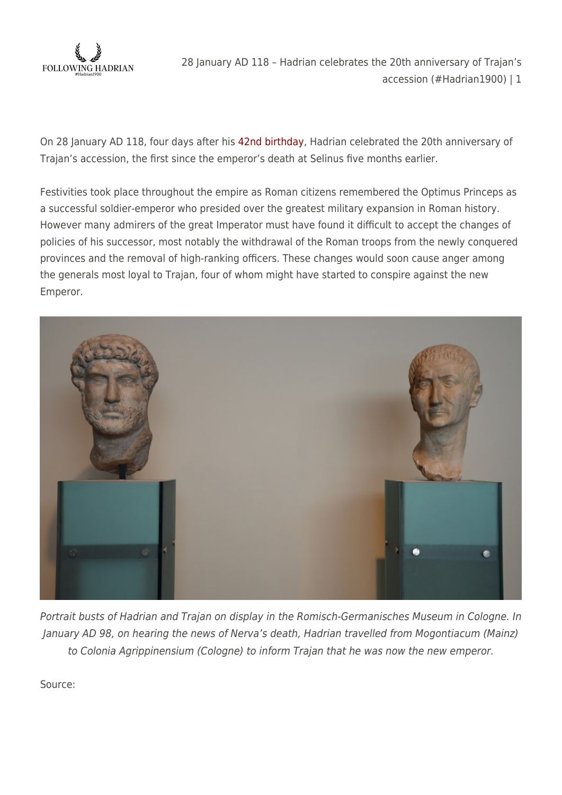

28 January AD 118 – Hadrian celebrates the 20th anniversary of Trajan's accession (#Hadrian1900) | 1

On 28 January AD 118, four days after his [42nd birthday](https://followinghadrian.com/2018/01/24/felix-dies-natalis-hadriane-4/), Hadrian celebrated the 20th anniversary of Trajan's accession, the first since the emperor's death at Selinus five months earlier.

Festivities took place throughout the empire as Roman citizens remembered the Optimus Princeps as a successful soldier-emperor who presided over the greatest military expansion in Roman history. However many admirers of the great Imperator must have found it difficult to accept the changes of policies of his successor, most notably the withdrawal of the Roman troops from the newly conquered provinces and the removal of high-ranking officers. These changes would soon cause anger among the generals most loyal to Trajan, four of whom might have started to conspire against the new Emperor.



Portrait busts of Hadrian and Trajan on display in the Romisch-Germanisches Museum in Cologne. In January AD 98, on hearing the news of Nerva's death, Hadrian travelled from Mogontiacum (Mainz) to Colonia Agrippinensium (Cologne) to inform Trajan that he was now the new emperor.

Source: